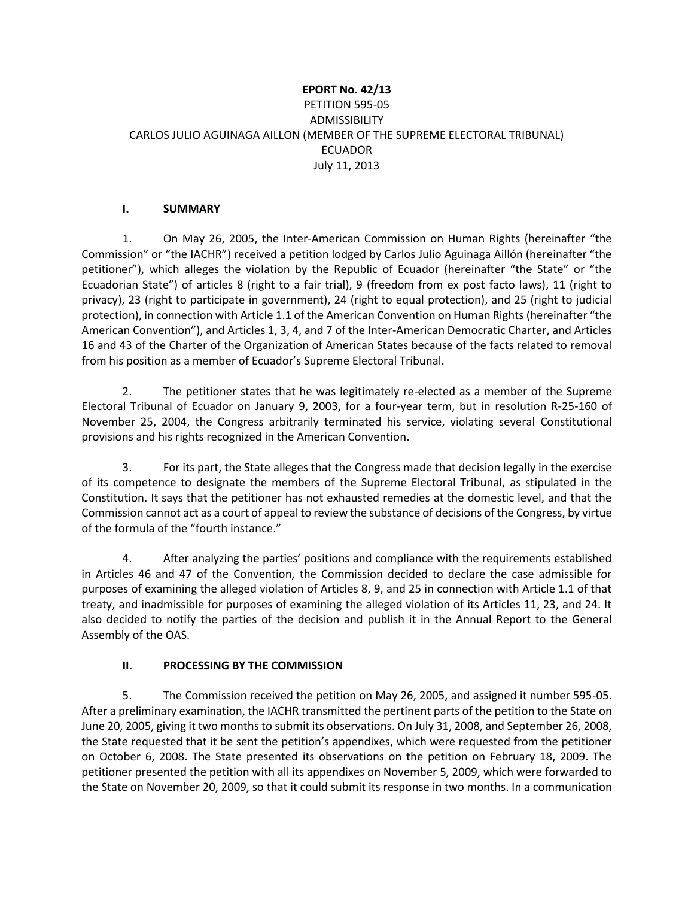## **EPORT No. 42/13** PETITION 595-05 ADMISSIBILITY CARLOS JULIO AGUINAGA AILLON (MEMBER OF THE SUPREME ELECTORAL TRIBUNAL) ECUADOR July 11, 2013

### **I. SUMMARY**

1. On May 26, 2005, the Inter-American Commission on Human Rights (hereinafter "the Commission" or "the IACHR") received a petition lodged by Carlos Julio Aguinaga Aillón (hereinafter "the petitioner"), which alleges the violation by the Republic of Ecuador (hereinafter "the State" or "the Ecuadorian State") of articles 8 (right to a fair trial), 9 (freedom from ex post facto laws), 11 (right to privacy), 23 (right to participate in government), 24 (right to equal protection), and 25 (right to judicial protection), in connection with Article 1.1 of the American Convention on Human Rights (hereinafter "the American Convention"), and Articles 1, 3, 4, and 7 of the Inter-American Democratic Charter, and Articles 16 and 43 of the Charter of the Organization of American States because of the facts related to removal from his position as a member of Ecuador's Supreme Electoral Tribunal.

2. The petitioner states that he was legitimately re-elected as a member of the Supreme Electoral Tribunal of Ecuador on January 9, 2003, for a four-year term, but in resolution R-25-160 of November 25, 2004, the Congress arbitrarily terminated his service, violating several Constitutional provisions and his rights recognized in the American Convention.

3. For its part, the State alleges that the Congress made that decision legally in the exercise of its competence to designate the members of the Supreme Electoral Tribunal, as stipulated in the Constitution. It says that the petitioner has not exhausted remedies at the domestic level, and that the Commission cannot act as a court of appeal to review the substance of decisions of the Congress, by virtue of the formula of the "fourth instance."

4. After analyzing the parties' positions and compliance with the requirements established in Articles 46 and 47 of the Convention, the Commission decided to declare the case admissible for purposes of examining the alleged violation of Articles 8, 9, and 25 in connection with Article 1.1 of that treaty, and inadmissible for purposes of examining the alleged violation of its Articles 11, 23, and 24. It also decided to notify the parties of the decision and publish it in the Annual Report to the General Assembly of the OAS.

## **II. PROCESSING BY THE COMMISSION**

5. The Commission received the petition on May 26, 2005, and assigned it number 595-05. After a preliminary examination, the IACHR transmitted the pertinent parts of the petition to the State on June 20, 2005, giving it two months to submit its observations. On July 31, 2008, and September 26, 2008, the State requested that it be sent the petition's appendixes, which were requested from the petitioner on October 6, 2008. The State presented its observations on the petition on February 18, 2009. The petitioner presented the petition with all its appendixes on November 5, 2009, which were forwarded to the State on November 20, 2009, so that it could submit its response in two months. In a communication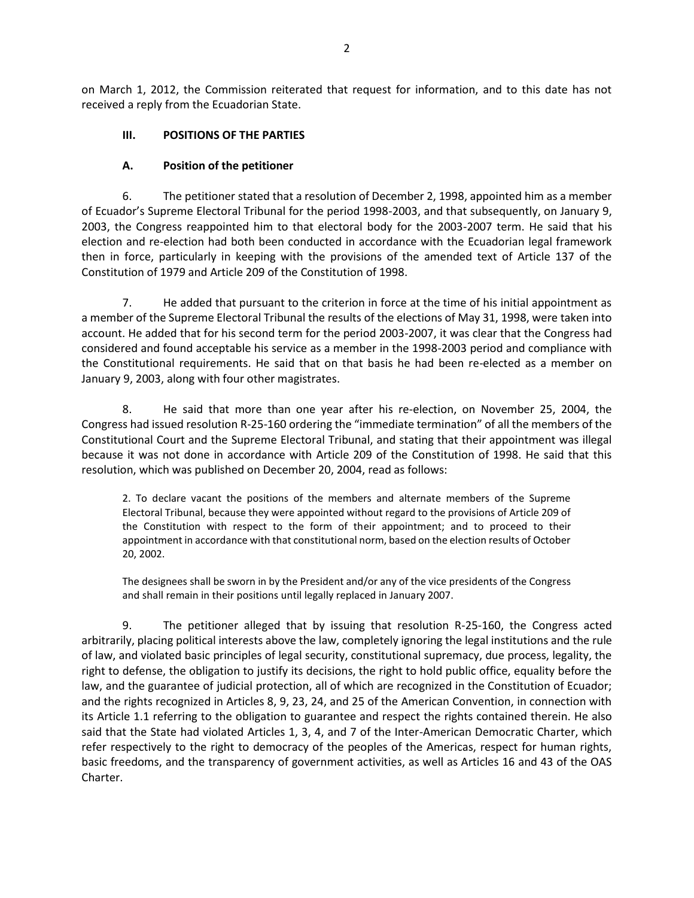on March 1, 2012, the Commission reiterated that request for information, and to this date has not received a reply from the Ecuadorian State.

### **III. POSITIONS OF THE PARTIES**

### **A. Position of the petitioner**

6. The petitioner stated that a resolution of December 2, 1998, appointed him as a member of Ecuador's Supreme Electoral Tribunal for the period 1998-2003, and that subsequently, on January 9, 2003, the Congress reappointed him to that electoral body for the 2003-2007 term. He said that his election and re-election had both been conducted in accordance with the Ecuadorian legal framework then in force, particularly in keeping with the provisions of the amended text of Article 137 of the Constitution of 1979 and Article 209 of the Constitution of 1998.

7. He added that pursuant to the criterion in force at the time of his initial appointment as a member of the Supreme Electoral Tribunal the results of the elections of May 31, 1998, were taken into account. He added that for his second term for the period 2003-2007, it was clear that the Congress had considered and found acceptable his service as a member in the 1998-2003 period and compliance with the Constitutional requirements. He said that on that basis he had been re-elected as a member on January 9, 2003, along with four other magistrates.

8. He said that more than one year after his re-election, on November 25, 2004, the Congress had issued resolution R-25-160 ordering the "immediate termination" of all the members of the Constitutional Court and the Supreme Electoral Tribunal, and stating that their appointment was illegal because it was not done in accordance with Article 209 of the Constitution of 1998. He said that this resolution, which was published on December 20, 2004, read as follows:

2. To declare vacant the positions of the members and alternate members of the Supreme Electoral Tribunal, because they were appointed without regard to the provisions of Article 209 of the Constitution with respect to the form of their appointment; and to proceed to their appointment in accordance with that constitutional norm, based on the election results of October 20, 2002.

The designees shall be sworn in by the President and/or any of the vice presidents of the Congress and shall remain in their positions until legally replaced in January 2007.

9. The petitioner alleged that by issuing that resolution R-25-160, the Congress acted arbitrarily, placing political interests above the law, completely ignoring the legal institutions and the rule of law, and violated basic principles of legal security, constitutional supremacy, due process, legality, the right to defense, the obligation to justify its decisions, the right to hold public office, equality before the law, and the guarantee of judicial protection, all of which are recognized in the Constitution of Ecuador; and the rights recognized in Articles 8, 9, 23, 24, and 25 of the American Convention, in connection with its Article 1.1 referring to the obligation to guarantee and respect the rights contained therein. He also said that the State had violated Articles 1, 3, 4, and 7 of the Inter-American Democratic Charter, which refer respectively to the right to democracy of the peoples of the Americas, respect for human rights, basic freedoms, and the transparency of government activities, as well as Articles 16 and 43 of the OAS Charter.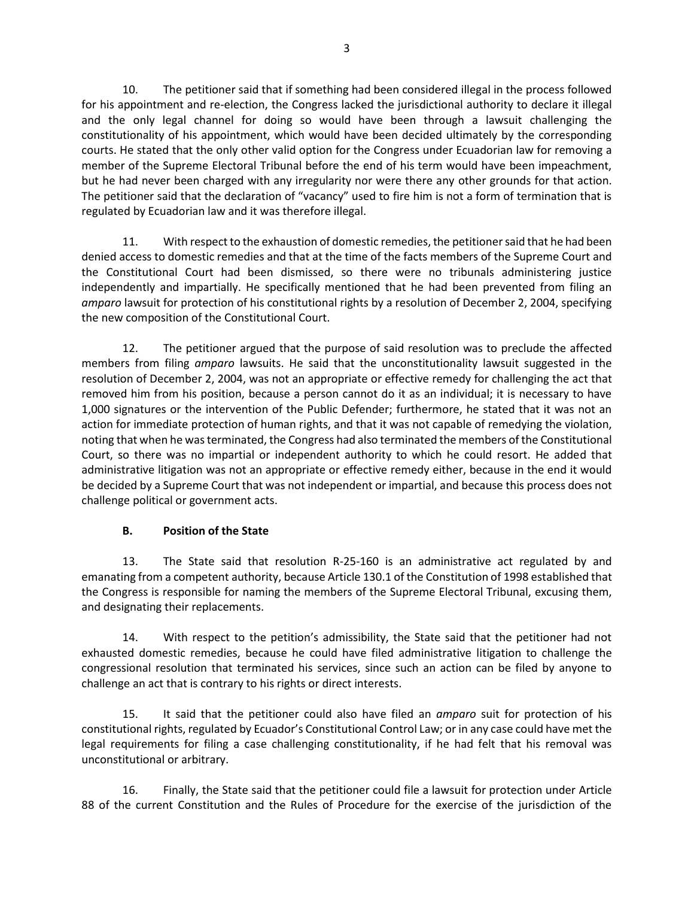10. The petitioner said that if something had been considered illegal in the process followed for his appointment and re-election, the Congress lacked the jurisdictional authority to declare it illegal and the only legal channel for doing so would have been through a lawsuit challenging the constitutionality of his appointment, which would have been decided ultimately by the corresponding courts. He stated that the only other valid option for the Congress under Ecuadorian law for removing a member of the Supreme Electoral Tribunal before the end of his term would have been impeachment, but he had never been charged with any irregularity nor were there any other grounds for that action. The petitioner said that the declaration of "vacancy" used to fire him is not a form of termination that is regulated by Ecuadorian law and it was therefore illegal.

11. With respect to the exhaustion of domestic remedies, the petitioner said that he had been denied access to domestic remedies and that at the time of the facts members of the Supreme Court and the Constitutional Court had been dismissed, so there were no tribunals administering justice independently and impartially. He specifically mentioned that he had been prevented from filing an *amparo* lawsuit for protection of his constitutional rights by a resolution of December 2, 2004, specifying the new composition of the Constitutional Court.

12. The petitioner argued that the purpose of said resolution was to preclude the affected members from filing *amparo* lawsuits. He said that the unconstitutionality lawsuit suggested in the resolution of December 2, 2004, was not an appropriate or effective remedy for challenging the act that removed him from his position, because a person cannot do it as an individual; it is necessary to have 1,000 signatures or the intervention of the Public Defender; furthermore, he stated that it was not an action for immediate protection of human rights, and that it was not capable of remedying the violation, noting that when he was terminated, the Congress had also terminated the members of the Constitutional Court, so there was no impartial or independent authority to which he could resort. He added that administrative litigation was not an appropriate or effective remedy either, because in the end it would be decided by a Supreme Court that was not independent or impartial, and because this process does not challenge political or government acts.

## **B. Position of the State**

13. The State said that resolution R-25-160 is an administrative act regulated by and emanating from a competent authority, because Article 130.1 of the Constitution of 1998 established that the Congress is responsible for naming the members of the Supreme Electoral Tribunal, excusing them, and designating their replacements.

14. With respect to the petition's admissibility, the State said that the petitioner had not exhausted domestic remedies, because he could have filed administrative litigation to challenge the congressional resolution that terminated his services, since such an action can be filed by anyone to challenge an act that is contrary to his rights or direct interests.

15. It said that the petitioner could also have filed an *amparo* suit for protection of his constitutional rights, regulated by Ecuador's Constitutional Control Law; or in any case could have met the legal requirements for filing a case challenging constitutionality, if he had felt that his removal was unconstitutional or arbitrary.

16. Finally, the State said that the petitioner could file a lawsuit for protection under Article 88 of the current Constitution and the Rules of Procedure for the exercise of the jurisdiction of the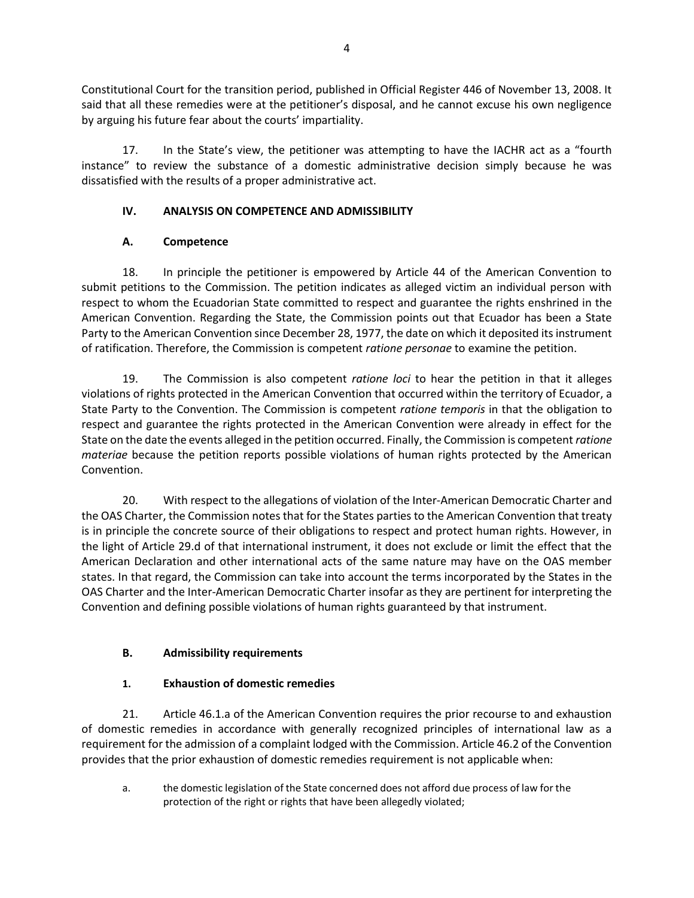Constitutional Court for the transition period, published in Official Register 446 of November 13, 2008. It said that all these remedies were at the petitioner's disposal, and he cannot excuse his own negligence by arguing his future fear about the courts' impartiality.

17. In the State's view, the petitioner was attempting to have the IACHR act as a "fourth instance" to review the substance of a domestic administrative decision simply because he was dissatisfied with the results of a proper administrative act.

## **IV. ANALYSIS ON COMPETENCE AND ADMISSIBILITY**

# **A. Competence**

18. In principle the petitioner is empowered by Article 44 of the American Convention to submit petitions to the Commission. The petition indicates as alleged victim an individual person with respect to whom the Ecuadorian State committed to respect and guarantee the rights enshrined in the American Convention. Regarding the State, the Commission points out that Ecuador has been a State Party to the American Convention since December 28, 1977, the date on which it deposited its instrument of ratification. Therefore, the Commission is competent *ratione personae* to examine the petition.

19. The Commission is also competent *ratione loci* to hear the petition in that it alleges violations of rights protected in the American Convention that occurred within the territory of Ecuador, a State Party to the Convention. The Commission is competent *ratione temporis* in that the obligation to respect and guarantee the rights protected in the American Convention were already in effect for the State on the date the events alleged in the petition occurred. Finally, the Commission is competent *ratione materiae* because the petition reports possible violations of human rights protected by the American Convention.

20. With respect to the allegations of violation of the Inter-American Democratic Charter and the OAS Charter, the Commission notes that for the States parties to the American Convention that treaty is in principle the concrete source of their obligations to respect and protect human rights. However, in the light of Article 29.d of that international instrument, it does not exclude or limit the effect that the American Declaration and other international acts of the same nature may have on the OAS member states. In that regard, the Commission can take into account the terms incorporated by the States in the OAS Charter and the Inter-American Democratic Charter insofar as they are pertinent for interpreting the Convention and defining possible violations of human rights guaranteed by that instrument.

# **B. Admissibility requirements**

# **1. Exhaustion of domestic remedies**

21. Article 46.1.a of the American Convention requires the prior recourse to and exhaustion of domestic remedies in accordance with generally recognized principles of international law as a requirement for the admission of a complaint lodged with the Commission. Article 46.2 of the Convention provides that the prior exhaustion of domestic remedies requirement is not applicable when:

a. the domestic legislation of the State concerned does not afford due process of law for the protection of the right or rights that have been allegedly violated;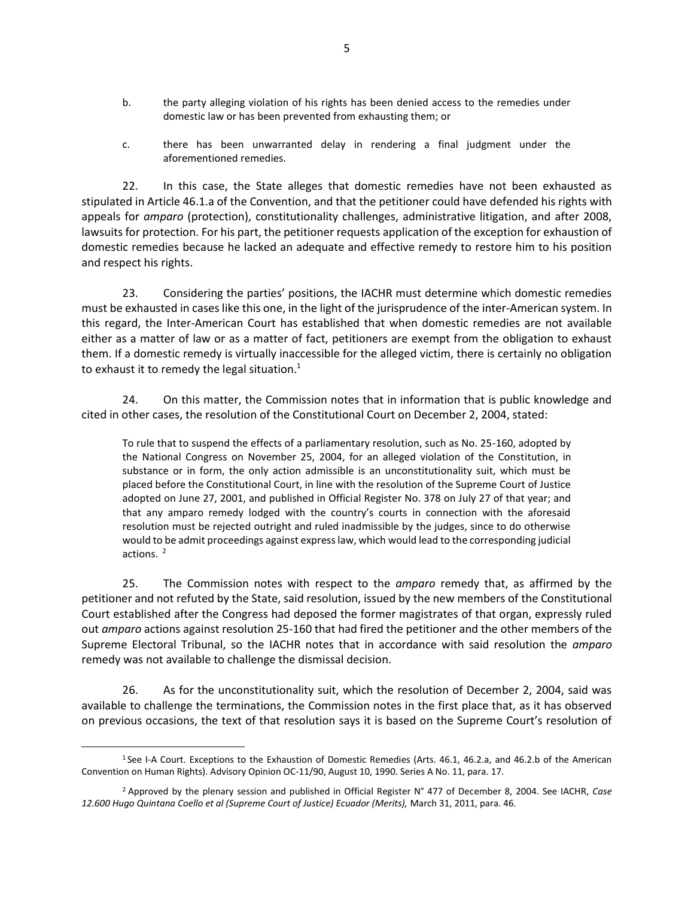- b. the party alleging violation of his rights has been denied access to the remedies under domestic law or has been prevented from exhausting them; or
- c. there has been unwarranted delay in rendering a final judgment under the aforementioned remedies.

22. In this case, the State alleges that domestic remedies have not been exhausted as stipulated in Article 46.1.a of the Convention, and that the petitioner could have defended his rights with appeals for *amparo* (protection), constitutionality challenges, administrative litigation, and after 2008, lawsuits for protection. For his part, the petitioner requests application of the exception for exhaustion of domestic remedies because he lacked an adequate and effective remedy to restore him to his position and respect his rights.

23. Considering the parties' positions, the IACHR must determine which domestic remedies must be exhausted in cases like this one, in the light of the jurisprudence of the inter-American system. In this regard, the Inter-American Court has established that when domestic remedies are not available either as a matter of law or as a matter of fact, petitioners are exempt from the obligation to exhaust them. If a domestic remedy is virtually inaccessible for the alleged victim, there is certainly no obligation to exhaust it to remedy the legal situation. $1$ 

24. On this matter, the Commission notes that in information that is public knowledge and cited in other cases, the resolution of the Constitutional Court on December 2, 2004, stated:

To rule that to suspend the effects of a parliamentary resolution, such as No. 25-160, adopted by the National Congress on November 25, 2004, for an alleged violation of the Constitution, in substance or in form, the only action admissible is an unconstitutionality suit, which must be placed before the Constitutional Court, in line with the resolution of the Supreme Court of Justice adopted on June 27, 2001, and published in Official Register No. 378 on July 27 of that year; and that any amparo remedy lodged with the country's courts in connection with the aforesaid resolution must be rejected outright and ruled inadmissible by the judges, since to do otherwise would to be admit proceedings against express law, which would lead to the corresponding judicial actions. $<sup>2</sup>$ </sup>

25. The Commission notes with respect to the *amparo* remedy that, as affirmed by the petitioner and not refuted by the State, said resolution, issued by the new members of the Constitutional Court established after the Congress had deposed the former magistrates of that organ, expressly ruled out *amparo* actions against resolution 25-160 that had fired the petitioner and the other members of the Supreme Electoral Tribunal, so the IACHR notes that in accordance with said resolution the *amparo* remedy was not available to challenge the dismissal decision.

26. As for the unconstitutionality suit, which the resolution of December 2, 2004, said was available to challenge the terminations, the Commission notes in the first place that, as it has observed on previous occasions, the text of that resolution says it is based on the Supreme Court's resolution of

<sup>&</sup>lt;sup>1</sup> See I-A Court. Exceptions to the Exhaustion of Domestic Remedies (Arts. 46.1, 46.2.a, and 46.2.b of the American Convention on Human Rights). Advisory Opinion OC-11/90, August 10, 1990. Series A No. 11, para. 17.

<sup>2</sup> Approved by the plenary session and published in Official Register N° 477 of December 8, 2004. See IACHR, *Case 12.600 Hugo Quintana Coello et al (Supreme Court of Justice) Ecuador (Merits),* March 31, 2011, para. 46.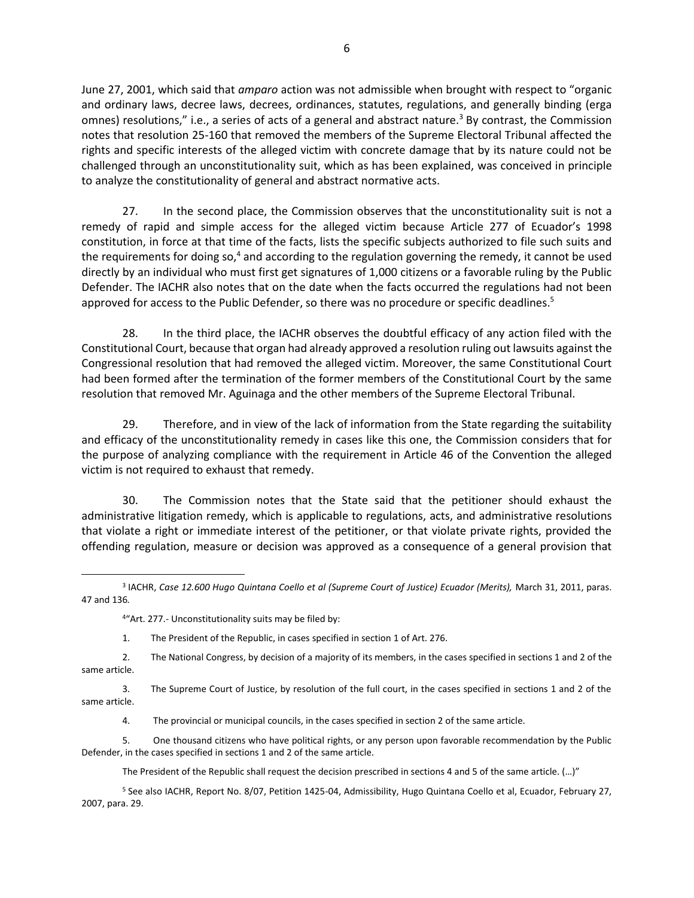June 27, 2001, which said that *amparo* action was not admissible when brought with respect to "organic and ordinary laws, decree laws, decrees, ordinances, statutes, regulations, and generally binding (erga omnes) resolutions," i.e., a series of acts of a general and abstract nature.<sup>3</sup> By contrast, the Commission notes that resolution 25-160 that removed the members of the Supreme Electoral Tribunal affected the rights and specific interests of the alleged victim with concrete damage that by its nature could not be challenged through an unconstitutionality suit, which as has been explained, was conceived in principle to analyze the constitutionality of general and abstract normative acts.

27. In the second place, the Commission observes that the unconstitutionality suit is not a remedy of rapid and simple access for the alleged victim because Article 277 of Ecuador's 1998 constitution, in force at that time of the facts, lists the specific subjects authorized to file such suits and the requirements for doing so,<sup>4</sup> and according to the regulation governing the remedy, it cannot be used directly by an individual who must first get signatures of 1,000 citizens or a favorable ruling by the Public Defender. The IACHR also notes that on the date when the facts occurred the regulations had not been approved for access to the Public Defender, so there was no procedure or specific deadlines.<sup>5</sup>

28. In the third place, the IACHR observes the doubtful efficacy of any action filed with the Constitutional Court, because that organ had already approved a resolution ruling out lawsuits against the Congressional resolution that had removed the alleged victim. Moreover, the same Constitutional Court had been formed after the termination of the former members of the Constitutional Court by the same resolution that removed Mr. Aguinaga and the other members of the Supreme Electoral Tribunal.

29. Therefore, and in view of the lack of information from the State regarding the suitability and efficacy of the unconstitutionality remedy in cases like this one, the Commission considers that for the purpose of analyzing compliance with the requirement in Article 46 of the Convention the alleged victim is not required to exhaust that remedy.

30. The Commission notes that the State said that the petitioner should exhaust the administrative litigation remedy, which is applicable to regulations, acts, and administrative resolutions that violate a right or immediate interest of the petitioner, or that violate private rights, provided the offending regulation, measure or decision was approved as a consequence of a general provision that

<sup>4</sup>"Art. 277.- Unconstitutionality suits may be filed by:

1. The President of the Republic, in cases specified in section 1 of Art. 276.

2. The National Congress, by decision of a majority of its members, in the cases specified in sections 1 and 2 of the same article.

3. The Supreme Court of Justice, by resolution of the full court, in the cases specified in sections 1 and 2 of the same article.

4. The provincial or municipal councils, in the cases specified in section 2 of the same article.

5. One thousand citizens who have political rights, or any person upon favorable recommendation by the Public Defender, in the cases specified in sections 1 and 2 of the same article.

The President of the Republic shall request the decision prescribed in sections 4 and 5 of the same article. (…)"

<sup>5</sup> See also IACHR, Report No. 8/07, Petition 1425-04, Admissibility, Hugo Quintana Coello et al, Ecuador, February 27, 2007, para. 29.

<sup>3</sup> IACHR, *Case 12.600 Hugo Quintana Coello et al (Supreme Court of Justice) Ecuador (Merits),* March 31, 2011, paras. 47 and 136*.*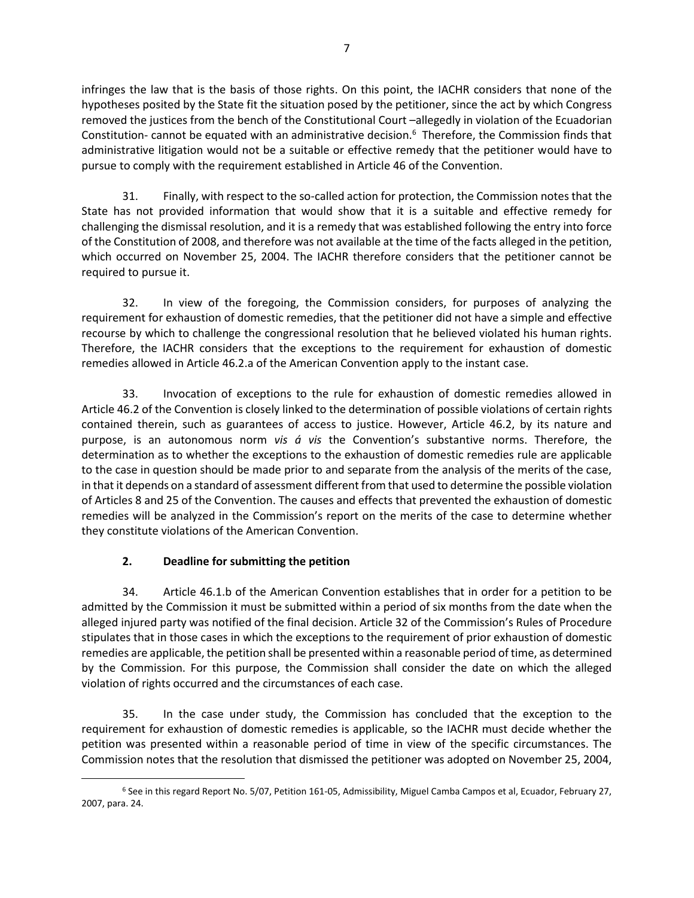infringes the law that is the basis of those rights. On this point, the IACHR considers that none of the hypotheses posited by the State fit the situation posed by the petitioner, since the act by which Congress removed the justices from the bench of the Constitutional Court –allegedly in violation of the Ecuadorian Constitution- cannot be equated with an administrative decision.<sup>6</sup> Therefore, the Commission finds that administrative litigation would not be a suitable or effective remedy that the petitioner would have to pursue to comply with the requirement established in Article 46 of the Convention.

31. Finally, with respect to the so-called action for protection, the Commission notes that the State has not provided information that would show that it is a suitable and effective remedy for challenging the dismissal resolution, and it is a remedy that was established following the entry into force of the Constitution of 2008, and therefore was not available at the time of the facts alleged in the petition, which occurred on November 25, 2004. The IACHR therefore considers that the petitioner cannot be required to pursue it.

32. In view of the foregoing, the Commission considers, for purposes of analyzing the requirement for exhaustion of domestic remedies, that the petitioner did not have a simple and effective recourse by which to challenge the congressional resolution that he believed violated his human rights. Therefore, the IACHR considers that the exceptions to the requirement for exhaustion of domestic remedies allowed in Article 46.2.a of the American Convention apply to the instant case.

33. Invocation of exceptions to the rule for exhaustion of domestic remedies allowed in Article 46.2 of the Convention is closely linked to the determination of possible violations of certain rights contained therein, such as guarantees of access to justice. However, Article 46.2, by its nature and purpose, is an autonomous norm *vis á vis* the Convention's substantive norms. Therefore, the determination as to whether the exceptions to the exhaustion of domestic remedies rule are applicable to the case in question should be made prior to and separate from the analysis of the merits of the case, in that it depends on a standard of assessment different from that used to determine the possible violation of Articles 8 and 25 of the Convention. The causes and effects that prevented the exhaustion of domestic remedies will be analyzed in the Commission's report on the merits of the case to determine whether they constitute violations of the American Convention.

## **2. Deadline for submitting the petition**

34. Article 46.1.b of the American Convention establishes that in order for a petition to be admitted by the Commission it must be submitted within a period of six months from the date when the alleged injured party was notified of the final decision. Article 32 of the Commission's Rules of Procedure stipulates that in those cases in which the exceptions to the requirement of prior exhaustion of domestic remedies are applicable, the petition shall be presented within a reasonable period of time, as determined by the Commission. For this purpose, the Commission shall consider the date on which the alleged violation of rights occurred and the circumstances of each case.

35. In the case under study, the Commission has concluded that the exception to the requirement for exhaustion of domestic remedies is applicable, so the IACHR must decide whether the petition was presented within a reasonable period of time in view of the specific circumstances. The Commission notes that the resolution that dismissed the petitioner was adopted on November 25, 2004,

<sup>6</sup> See in this regard Report No. 5/07, Petition 161-05, Admissibility, Miguel Camba Campos et al, Ecuador, February 27, 2007, para. 24.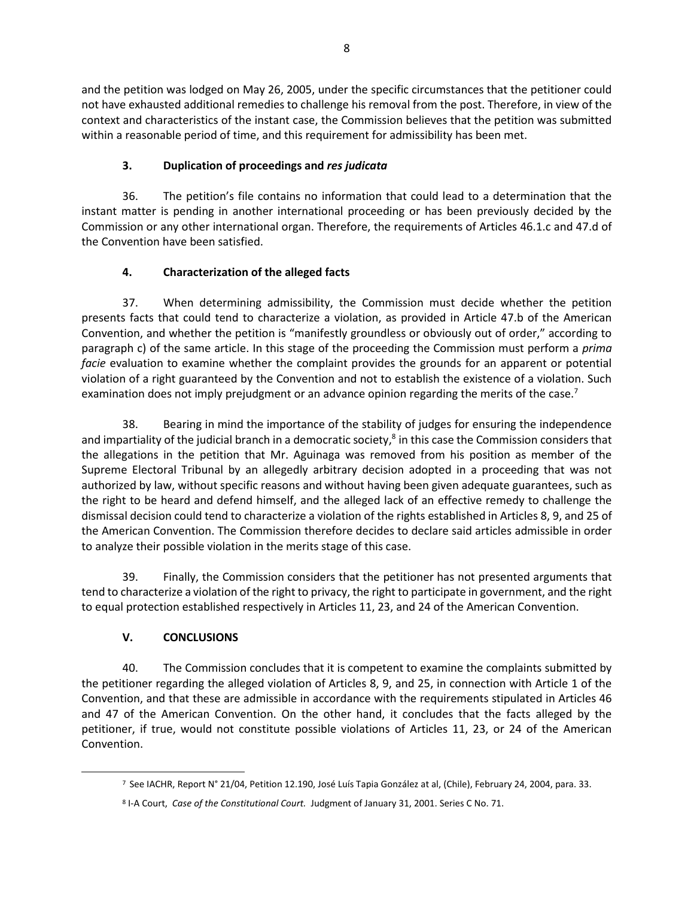and the petition was lodged on May 26, 2005, under the specific circumstances that the petitioner could not have exhausted additional remedies to challenge his removal from the post. Therefore, in view of the context and characteristics of the instant case, the Commission believes that the petition was submitted within a reasonable period of time, and this requirement for admissibility has been met.

## **3. Duplication of proceedings and** *res judicata*

36. The petition's file contains no information that could lead to a determination that the instant matter is pending in another international proceeding or has been previously decided by the Commission or any other international organ. Therefore, the requirements of Articles 46.1.c and 47.d of the Convention have been satisfied.

# **4. Characterization of the alleged facts**

37. When determining admissibility, the Commission must decide whether the petition presents facts that could tend to characterize a violation, as provided in Article 47.b of the American Convention, and whether the petition is "manifestly groundless or obviously out of order," according to paragraph c) of the same article. In this stage of the proceeding the Commission must perform a *prima facie* evaluation to examine whether the complaint provides the grounds for an apparent or potential violation of a right guaranteed by the Convention and not to establish the existence of a violation. Such examination does not imply prejudgment or an advance opinion regarding the merits of the case.<sup>7</sup>

38. Bearing in mind the importance of the stability of judges for ensuring the independence and impartiality of the judicial branch in a democratic society, $^8$  in this case the Commission considers that the allegations in the petition that Mr. Aguinaga was removed from his position as member of the Supreme Electoral Tribunal by an allegedly arbitrary decision adopted in a proceeding that was not authorized by law, without specific reasons and without having been given adequate guarantees, such as the right to be heard and defend himself, and the alleged lack of an effective remedy to challenge the dismissal decision could tend to characterize a violation of the rights established in Articles 8, 9, and 25 of the American Convention. The Commission therefore decides to declare said articles admissible in order to analyze their possible violation in the merits stage of this case.

39. Finally, the Commission considers that the petitioner has not presented arguments that tend to characterize a violation of the right to privacy, the right to participate in government, and the right to equal protection established respectively in Articles 11, 23, and 24 of the American Convention.

# **V. CONCLUSIONS**

40. The Commission concludes that it is competent to examine the complaints submitted by the petitioner regarding the alleged violation of Articles 8, 9, and 25, in connection with Article 1 of the Convention, and that these are admissible in accordance with the requirements stipulated in Articles 46 and 47 of the American Convention. On the other hand, it concludes that the facts alleged by the petitioner, if true, would not constitute possible violations of Articles 11, 23, or 24 of the American Convention.

<sup>7</sup> See IACHR, Report N° 21/04, Petition 12.190, José Luís Tapia González at al, (Chile), February 24, 2004, para. 33.

<sup>8</sup> I-A Court, *Case of the Constitutional Court.* Judgment of January 31, 2001. Series C No. 71.